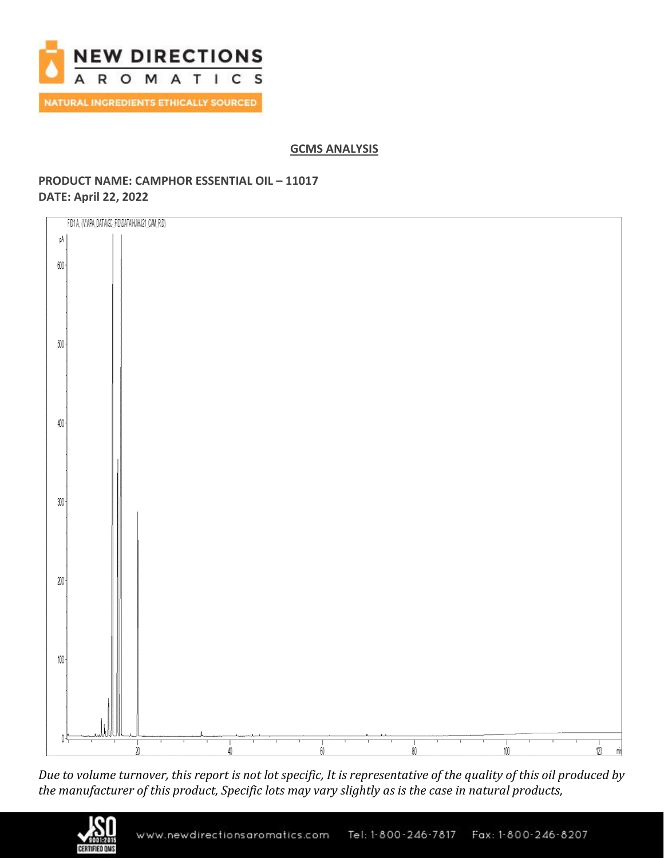

# **GCMS ANALYSIS**

# **PRODUCT NAME: CAMPHOR ESSENTIAL OIL – 11017 DATE: April 22, 2022**



*Due to volume turnover, this report is not lot specific, It is representative of the quality of this oil produced by the manufacturer of this product, Specific lots may vary slightly as is the case in natural products,*

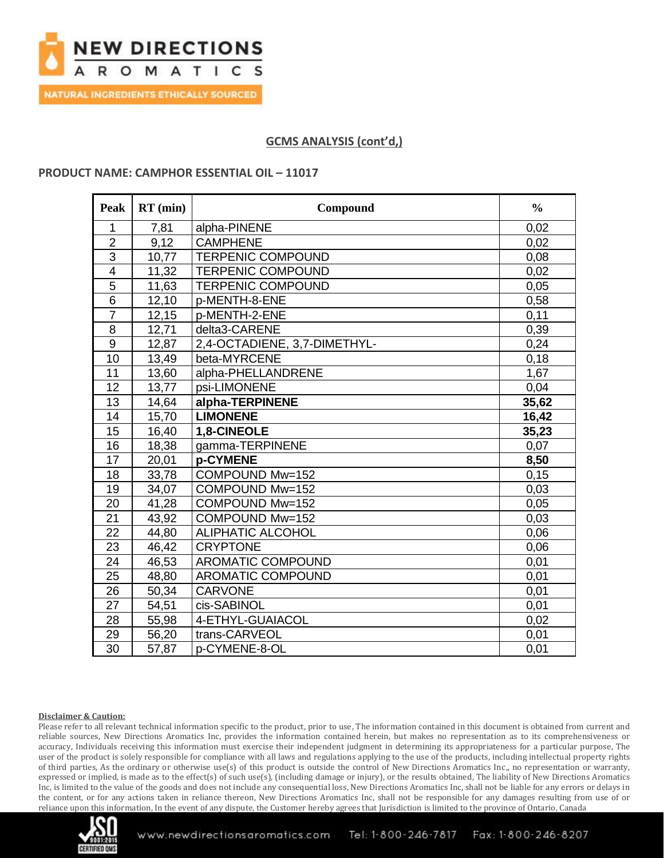

NATURAL INGREDIENTS ETHICALLY SOURCED

# **GCMS ANALYSIS (cont'd,)**

### **PRODUCT NAME: CAMPHOR ESSENTIAL OIL – 11017**

| Peak           | $RT$ (min) | Compound                     | $\frac{0}{0}$ |
|----------------|------------|------------------------------|---------------|
| 1              | 7,81       | alpha-PINENE                 | 0,02          |
| $\overline{2}$ | 9,12       | <b>CAMPHENE</b>              | 0,02          |
| $\overline{3}$ | 10,77      | <b>TERPENIC COMPOUND</b>     | 0,08          |
| $\overline{4}$ | 11,32      | <b>TERPENIC COMPOUND</b>     | 0,02          |
| 5              | 11,63      | <b>TERPENIC COMPOUND</b>     | 0,05          |
| $\overline{6}$ | 12,10      | p-MENTH-8-ENE                | 0,58          |
| $\overline{7}$ | 12,15      | p-MENTH-2-ENE                | 0,11          |
| 8              | 12,71      | delta3-CARENE                | 0,39          |
| $\overline{9}$ | 12,87      | 2,4-OCTADIENE, 3,7-DIMETHYL- | 0,24          |
| 10             | 13,49      | beta-MYRCENE                 | 0,18          |
| 11             | 13,60      | alpha-PHELLANDRENE           | 1,67          |
| 12             | 13,77      | psi-LIMONENE                 | 0,04          |
| 13             | 14,64      | alpha-TERPINENE              | 35,62         |
| 14             | 15,70      | <b>LIMONENE</b>              | 16,42         |
| 15             | 16,40      | 1,8-CINEOLE                  | 35,23         |
| 16             | 18,38      | gamma-TERPINENE              | 0,07          |
| 17             | 20,01      | p-CYMENE                     | 8,50          |
| 18             | 33,78      | COMPOUND Mw=152              | 0,15          |
| 19             | 34,07      | COMPOUND Mw=152              | 0,03          |
| 20             | 41,28      | COMPOUND Mw=152              | 0,05          |
| 21             | 43,92      | COMPOUND Mw=152              | 0,03          |
| 22             | 44,80      | <b>ALIPHATIC ALCOHOL</b>     | 0,06          |
| 23             | 46,42      | <b>CRYPTONE</b>              | 0,06          |
| 24             | 46,53      | AROMATIC COMPOUND            | 0,01          |
| 25             | 48,80      | <b>AROMATIC COMPOUND</b>     | 0,01          |
| 26             | 50,34      | <b>CARVONE</b>               | 0,01          |
| 27             | 54,51      | cis-SABINOL                  | 0,01          |
| 28             | 55,98      | 4-ETHYL-GUAIACOL             | 0,02          |
| 29             | 56,20      | trans-CARVEOL                | 0,01          |
| 30             | 57,87      | p-CYMENE-8-OL                | 0,01          |

#### **Disclaimer & Caution:**

Please refer to all relevant technical information specific to the product, prior to use, The information contained in this document is obtained from current and reliable sources, New Directions Aromatics Inc, provides the information contained herein, but makes no representation as to its comprehensiveness or accuracy, Individuals receiving this information must exercise their independent judgment in determining its appropriateness for a particular purpose, The user of the product is solely responsible for compliance with all laws and regulations applying to the use of the products, including intellectual property rights of third parties, As the ordinary or otherwise use(s) of this product is outside the control of New Directions Aromatics Inc,, no representation or warranty, expressed or implied, is made as to the effect(s) of such use(s), (including damage or injury), or the results obtained, The liability of New Directions Aromatics Inc, is limited to the value of the goods and does not include any consequential loss, New Directions Aromatics Inc, shall not be liable for any errors or delays in the content, or for any actions taken in reliance thereon, New Directions Aromatics Inc, shall not be responsible for any damages resulting from use of or reliance upon this information, In the event of any dispute, the Customer hereby agrees that Jurisdiction is limited to the province of Ontario, Canada